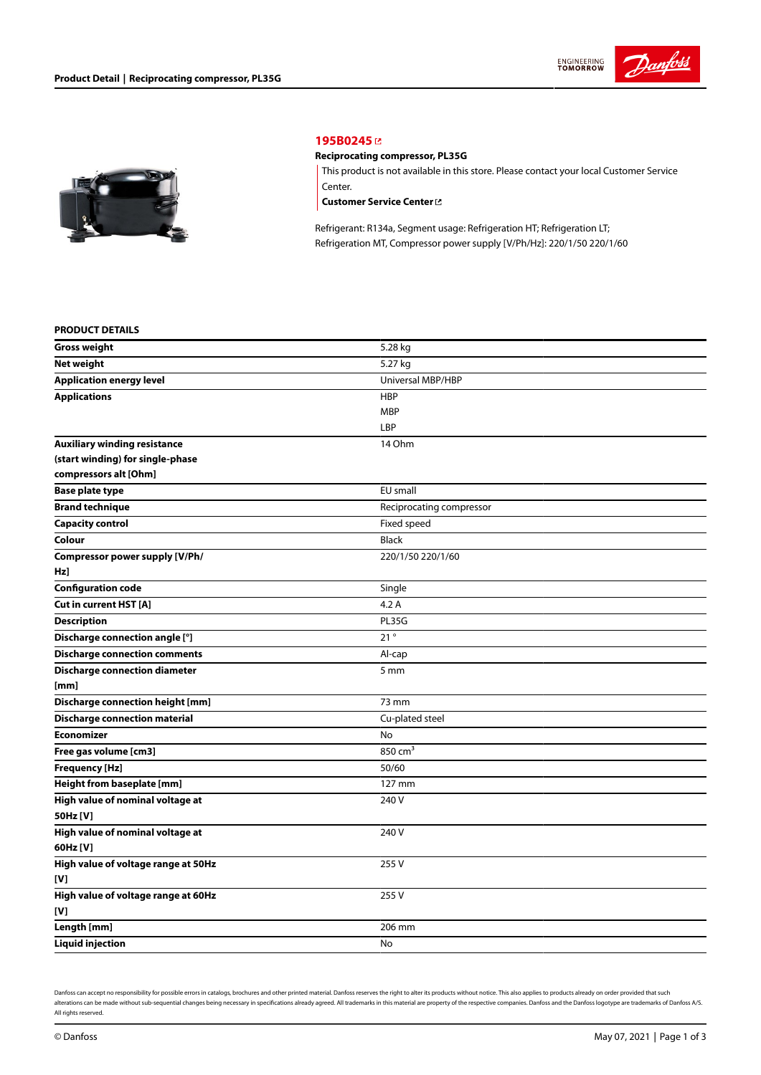



## **[195B0245](https://store.danfoss.com/en/Climate-Solutions-for-cooling/Compressors/Compressors-for-Refrigeration/Danfoss-Light-Commercial-Refrigeration-Compressors/Reciprocating-compressor%2C-PL35G/p/195B0245)**

## **Reciprocating compressor, PL35G**

This product is not available in this store. Please contact your local Customer Service Center.

**[Customer](https://store.danfoss.com/en/customer-service) Service Center**

Refrigerant: R134a, Segment usage: Refrigeration HT; Refrigeration LT; Refrigeration MT, Compressor power supply [V/Ph/Hz]: 220/1/50 220/1/60

#### **PRODUCT DETAILS**

| <b>Gross weight</b>                  | 5.28 kg                  |
|--------------------------------------|--------------------------|
| <b>Net weight</b>                    | 5.27 kg                  |
| <b>Application energy level</b>      | Universal MBP/HBP        |
| <b>Applications</b>                  | <b>HBP</b>               |
|                                      | MBP                      |
|                                      | LBP                      |
| <b>Auxiliary winding resistance</b>  | 14 Ohm                   |
| (start winding) for single-phase     |                          |
| compressors alt [Ohm]                |                          |
| <b>Base plate type</b>               | EU small                 |
| <b>Brand technique</b>               | Reciprocating compressor |
| <b>Capacity control</b>              | Fixed speed              |
| Colour                               | <b>Black</b>             |
| Compressor power supply [V/Ph/       | 220/1/50 220/1/60        |
| Hz]                                  |                          |
| <b>Configuration code</b>            | Single                   |
| Cut in current HST [A]               | 4.2A                     |
| <b>Description</b>                   | PL35G                    |
| Discharge connection angle [°]       | 21°                      |
| <b>Discharge connection comments</b> | Al-cap                   |
| <b>Discharge connection diameter</b> | 5 mm                     |
| [mm]                                 |                          |
| Discharge connection height [mm]     | 73 mm                    |
| <b>Discharge connection material</b> | Cu-plated steel          |
| <b>Economizer</b>                    | No                       |
| Free gas volume [cm3]                | $850 \text{ cm}^3$       |
| <b>Frequency [Hz]</b>                | 50/60                    |
| Height from baseplate [mm]           | 127 mm                   |
| High value of nominal voltage at     | 240 V                    |
| 50Hz [V]                             |                          |
| High value of nominal voltage at     | 240 V                    |
| 60Hz [V]                             |                          |
| High value of voltage range at 50Hz  | 255 V                    |
| [V]                                  |                          |
| High value of voltage range at 60Hz  | 255V                     |
| [V]                                  |                          |
| Length [mm]                          | 206 mm                   |
| <b>Liquid injection</b>              | No                       |

Danfoss can accept no responsibility for possible errors in catalogs, brochures and other printed material. Danfoss reserves the right to alter its products without notice. This also applies to products already on order pr alterations can be made without sub-sequential changes being necessary in specifications already agreed. All trademarks in this material are property of the respective companies. Danfoss and the Danfoss logotype are tradem All rights reserved.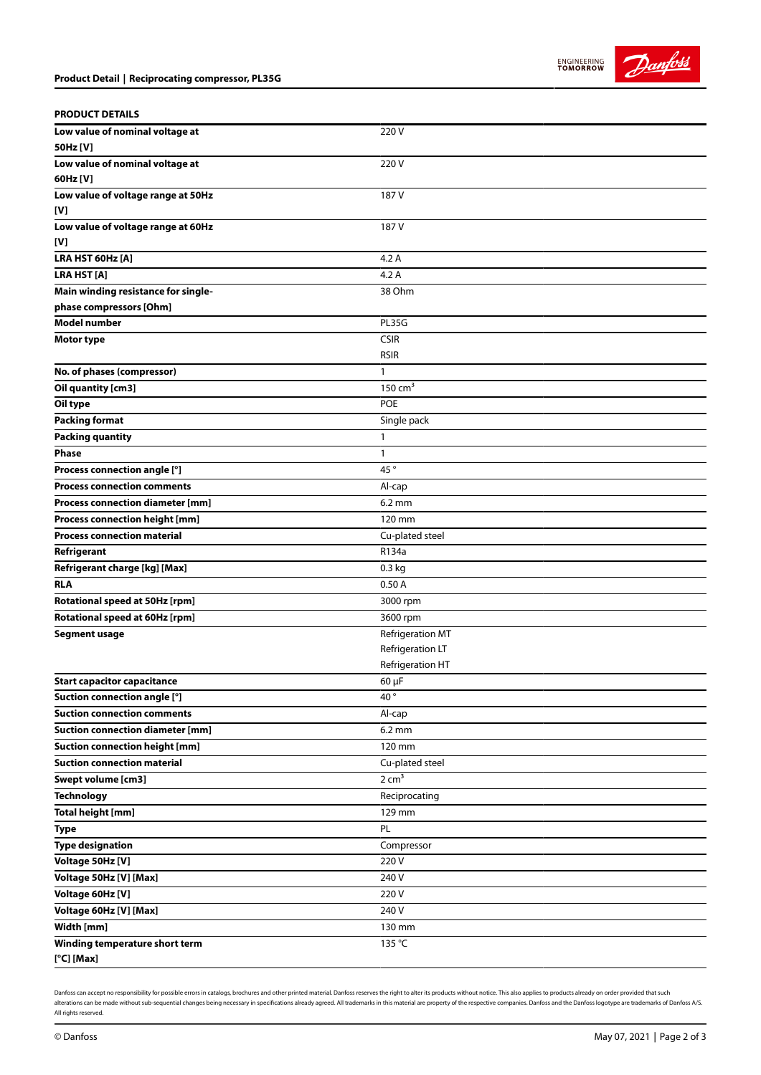



## **PRODUCT DETAILS**

| Low value of nominal voltage at<br>50Hz [V] | 220 V              |
|---------------------------------------------|--------------------|
| Low value of nominal voltage at             | 220 V              |
| 60Hz [V]                                    |                    |
| Low value of voltage range at 50Hz          | 187 V              |
| [V]                                         |                    |
| Low value of voltage range at 60Hz          | 187 V              |
| [V]                                         |                    |
| LRA HST 60Hz [A]                            | 4.2A               |
| <b>LRA HST [A]</b>                          | 4.2A               |
| Main winding resistance for single-         | 38 Ohm             |
| phase compressors [Ohm]                     |                    |
| <b>Model number</b>                         | PL35G              |
| <b>Motor type</b>                           | <b>CSIR</b>        |
|                                             | <b>RSIR</b>        |
| No. of phases (compressor)                  | 1                  |
| Oil quantity [cm3]                          | $150 \text{ cm}^3$ |
| Oil type                                    | <b>POE</b>         |
| <b>Packing format</b>                       | Single pack        |
| <b>Packing quantity</b>                     | 1                  |
| <b>Phase</b>                                | 1                  |
| Process connection angle [°]                | 45°                |
| <b>Process connection comments</b>          | Al-cap             |
| Process connection diameter [mm]            | $6.2 \text{ mm}$   |
| Process connection height [mm]              | 120 mm             |
| <b>Process connection material</b>          | Cu-plated steel    |
| Refrigerant                                 | R134a              |
| Refrigerant charge [kg] [Max]               | 0.3 kg             |
| <b>RLA</b>                                  | 0.50A              |
| Rotational speed at 50Hz [rpm]              | 3000 rpm           |
| Rotational speed at 60Hz [rpm]              | 3600 rpm           |
| <b>Segment usage</b>                        | Refrigeration MT   |
|                                             | Refrigeration LT   |
|                                             | Refrigeration HT   |
| <b>Start capacitor capacitance</b>          | $60 \mu F$         |
| Suction connection angle [°]                | 40                 |
| <b>Suction connection comments</b>          | Al-cap             |
| <b>Suction connection diameter [mm]</b>     | $6.2 \text{ mm}$   |
| <b>Suction connection height [mm]</b>       | 120 mm             |
| <b>Suction connection material</b>          | Cu-plated steel    |
| <b>Swept volume [cm3]</b>                   | $2 \text{ cm}^3$   |
| <b>Technology</b>                           | Reciprocating      |
| <b>Total height [mm]</b>                    | 129 mm             |
| <b>Type</b>                                 | PL                 |
| <b>Type designation</b>                     | Compressor         |
| Voltage 50Hz [V]                            | 220V               |
| Voltage 50Hz [V] [Max]                      | 240 V              |
| Voltage 60Hz [V]                            | 220 V              |
| Voltage 60Hz [V] [Max]                      | 240 V              |
| Width [mm]                                  | 130 mm             |
| Winding temperature short term              | 135 °C             |
| $[°C]$ [Max]                                |                    |

Danfoss can accept no responsibility for possible errors in catalogs, brochures and other printed material. Danfoss reserves the right to alter its products without notice. This also applies to products already on order pr alterations can be made without sub-sequential changes being necessary in specifications already agreed. All trademarks in this material are property of the respective companies. Danfoss and the Danfoss logotype are tradem All rights reserved.